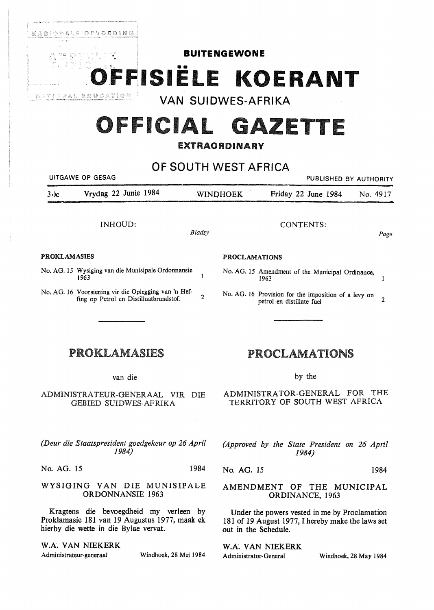

# **OFFICIAL** GAZETTE

## EXTRAORDINARY

**OF SOUTH** WEST AFRICA

| UITGAWE OP GESAG |                      |  |                 |                     |  | PUBLISHED BY AUTHORITY |
|------------------|----------------------|--|-----------------|---------------------|--|------------------------|
| $3\cdot$ ) $c$   | Vrydag 22 Junie 1984 |  | <b>WINDHOEK</b> | Friday 22 June 1984 |  | No. 4917               |
|                  |                      |  |                 |                     |  |                        |

 $\mathbf{I}$ 

#### **.PROKLAMASIES PROCLAMATIONS**

- No. AG. 15 Wysiging van die Munisipale Ordonnansie 1963
- No. AG. 16 Voorsiening vir die Oplegging van 'n Hefting op Petrol en Distillaatbrandstof. 2

### INHOUD:  $B$ <br>  $B$  and  $C$  ONTENTS:  $B$ ladsy  $Page$

- No. AG. 15 Amendment of the Municipal Ordinance,  $1963$  1
- No. AG. 16 Provision for the imposition of a levy on petrol en distillate fuel 2

## PROKLAMASIES

van die

ADMINISTRATEUR-GENERAAL VIR DIE GEBIED SUIDWES-AFRIKA

*(Deur die Staatspresident goedgekeur op 26 April 1984)* 

No. AG. 15 1984

#### WYSIGING VAN DIE MUNISIPALE ORDONNANSIE 1963

Kragtens die bevoegdheid my verleen by Proklarnasie 181 van 19 Augustus 1977, maak ek hierby die wette in die Bylae vervat.

W.A. VAN NIEKERK

Administrateur-generaal Windhoek, 28 Mei 1984

## PROCLAMATIONS

by the

ADMINISTRATOR-GENERAL FOR THE TERRITORY OF SOUTH WEST AFRICA

*(Approved by the State President on 26 April 1984)* 

No. AG. 15 1984

#### AMENDMENT OF THE MUNICIPAL ORDINANCE, 1963

Under the powers vested in me by Proclamation 181 of 19 August 1977, I hereby make the laws set out in the Schedule.

W.A. VAN NIEKERK Administrator-General Windhoek, 28 May 1984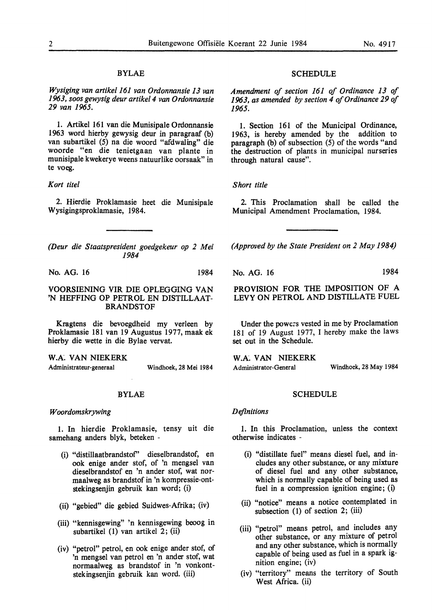#### BYLAE

*Wysiging van artikel 161 van Ordonnansie 13 van 1963, soos gewysig deur artikel 4 van O rdonnansie 29 van 1965.* 

1. Artikel 161 van die Munisipale Ordonnansie 1963 word hierby gewysig deur in paragraaf (b) van subartikel (5) na die woord "afdwaling" die woorde "en die tenietgaan van plante in munisipale kwekerye weens natuurlike oorsaak" in te voeg.

#### *Kort titel*

2. Hierdie Proklamasie beet die Munisipale Wysigingsproklamasie, 1984.

*(Deur die Staatspresident goedgekeur op 2 Mei 1984* 

No. AG. 16 1984

#### VOORSIENING VIR DIE OPLEGGING VAN 'N HEFFING OP PETROL EN DISTILLAAT-BRANDSTOF

Kragtens die bevoegdheid my verleen by Proklamasie 181 van 19 Augustus 1977, maak ek hierby die wette in die Bylae vervat.

**W.A.** VAN NIEKERK

Administrateur-generaal Windhoek, 28 Mei 1984

#### BYLAE

#### *W oordomskrywing*

1. In hierdie Proklamasie, tensy uit die samehang anders blyk, beteken -

- (i) "distillaatbrandstof' dieselbrandstof, en ook enige ander stof, of 'n mengsel van dieselbrandstof en 'n ander stof, wat normaalweg as brandstof in 'n kompressie-ontstekingsenjin gebruik kan word; (i)
- (ii) "gebied" die gebied Suidwes-Afrika; (iv)
- (iii) "kennisgewing" 'n kennisgewing beoog in subartikel (1) van artikel 2; (ii)
- (iv) "petrol" petrol, en ook enige ander stof, of 'n mengsel van petrol en 'n ander stof, wat normaalweg as brandstof in 'n vonkontstekingsenjin gebruik kan word. (iii)

#### SCHEDULE

*Amendment of section 161 of Ordinance 13 of 1963, as amended by section 4 of Ordinance 29 of 1965.* 

1. Section 161 of the Municipal Ordinance, 1963, is hereby amended by the addition to paragraph (b) of subsection  $(5)$  of the words "and" the destruction of plants in municipal nurseries through natural cause".

#### *Short title*

2. This Proclamation shall be called the Municipal Amendment Proclamation, 1984.

*(Approved by the State President on 2 May 1984)* 

No. AG. 16 1984

**PROVISION** FOR THE IMPOSITION OF A LEVY ON PETROL AND DISTILLATE FUEL

Under the powe:s vested in me by Proclamation 181 of 19 August 1977, I hereby make the laws set out in the Schedule.

W.A. VAN NIEKERK Administrator-General Windhoek, 28 May 1984

#### SCHEDULE

#### *Definitions*

1. In this Proclamation, unless the context otherwise indicates -

- (i) "distillate fuel" means diesel fuel, and includes any other substance, or any mixture of diesel fuel and any other substance, which is normally capable of being used as fuel in a compression ignition engine; (i)
- (ii) "notice" means a notice contemplated in subsection (1) of section 2; (iii)
- (iii) "petrol" means petrol, and includes any other substance, or any mixture of petrol and any other substance, which is normally capable of being used as fuel in a spark ignition engine; (iv)
- (iv) "territory" means the territory of South West Africa. (ii)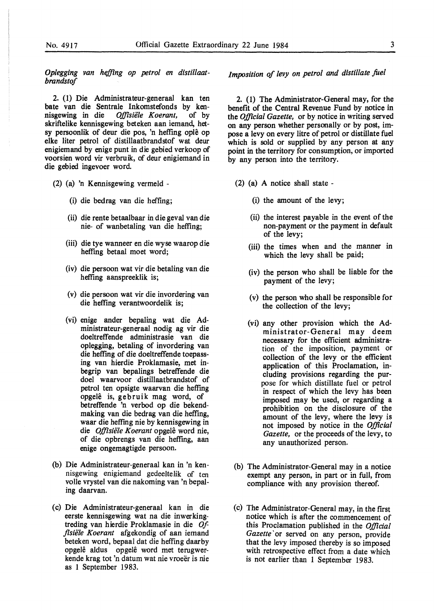*Op/egging van hefting op petrol en distillaatbrandstof* 

2. (1) Die Administrateur-generaal kan ten bate van die Sentrale Inkomstefonds by kennisgewing in die Offisiële Koerant, of by Offisiële Koerant, skriftelike kennisgewing beteken aan iemand, hetsy persoonlik of deur die pos, 'n hefting ople op elke liter petrol of distillaatbrandstof wat deur enigiemand by enige punt in die gebied verkoop of voorsien word vir verbruik, of deur enigiemand in die gebied ingevoer word

- (2) (a) 'n Kennisgewing vermeld
	- (i) die bedrag van die hefting;
	- (ii) die rente betaalbaar in die geval van die nie- of wanbetaling van die hefting;
	- (iii) die tye wanneer en die wyse waarop die heffing betaal moet word;
	- (iv) die persoon wat vir die betaling van die heffing aanspreeklik is;
	- (v) die persoon wat vir die invordering van die hefting verantwoordelik is;
	- (vi) enige ander bepaling wat die Administrateur-generaal nodig ag vir die doeltreffende administrasie van die oplegging, betaling of invordering van die heffing of die doeltreffende toepassing van hierdie Proklamasie, met inbegrip van bepalings betreffende die doel waarvoor · distillaatbrandstof of petrol ten opsigte waarvan die heffing opgele is, gebruik mag word, of betreffende 'n verbod op die bekendmaking van die bedrag van die hefting, waar die heffmg nie by kennisgewing in die Offisiële Koerant opgelê word nie, of die opbrengs van die hefting, aan enige ongemagtigde persoon.
- (b) Die Administrateur-generaal kan in 'n kennisgewing enigiemand gedeeltelik of ten volle vrystel van die nakoming van 'n bepaling daarvan.
- ( c) Die Administrateur-generaal kan in die eerste kennisgewing wat na die inwerkingtreding van hierdie Proklamasie in die *Of fisiële Koerant* afgekondig of aan iemand beteken word, bepaal dat die hefting daarby opgelê aldus opgelê word met terugwerkende krag tot 'n datum wat nie vroeër is nie as 1 September 1983.

*Imposition of levy on petrol and distillate fael* 

2. (1) The Administrator-General may, for the benefit of the Central Revenue Fund by notice in the *Official Gazette,* or by notice in writing served on any person whether personally or by post, impose a levy on every litre of petrol or distillate fuel which is sold or supplied by any person at any point in the territory for consumption, or imported by any person into the territory.

- (2) (a) A notice shall state
	- (i) the amount of the levy;
	- (ii) the interest payable in the event of the non-payment or the payment in default of the levy;
	- (iii) the times when and the manner in which the levy shall be paid;
	- (iv) the person who shall be liable for the payment of the levy;
	- (v) the person who shall be responsible for the collection of the levy;
	- (vi) any other provision which the Administrator-Gener al may deem necessary for the efficient administration of the imposition, payment or collection of the levy or the efficient application of this Proclamation, including provisions regarding the purpose for which distillate fuel or petrol in respect of which the levy has been imposed may be used, or regarding a prohibition on the disclosure of the amount of the levy, where the levy is not imposed by notice in the *Official Gazette,* or the proceeds of the levy, to any unauthorized person.
- (b) The Administrator-General may in a notice exempt any person, in part or in full, from compliance with any provision thereof.
- (c) The Administrator-General may, in the first notice which is after the commencement of this Proclamation published in the *Official*  Gazette' or served on any person, provide that the levy imposed thereby is so imposed with retrospective effect from a date which is not earlier than 1 September 1983.